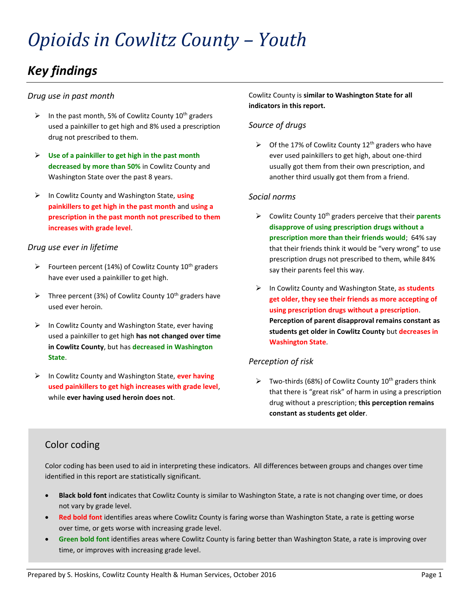# *Opioids in Cowlitz County – Youth*

# *Key findings*

#### *Drug use in past month*

- $\triangleright$  In the past month, 5% of Cowlitz County 10<sup>th</sup> graders used a painkiller to get high and 8% used a prescription drug not prescribed to them.
- ➢ **Use of a painkiller to get high in the past month decreased by more than 50%** in Cowlitz County and Washington State over the past 8 years.
- ➢ In Cowlitz County and Washington State, **using painkillers to get high in the past month** and **using a prescription in the past month not prescribed to them increases with grade level**.

#### *Drug use ever in lifetime*

- $\triangleright$  Fourteen percent (14%) of Cowlitz County 10<sup>th</sup> graders have ever used a painkiller to get high.
- $\triangleright$  Three percent (3%) of Cowlitz County 10<sup>th</sup> graders have used ever heroin.
- ➢ In Cowlitz County and Washington State, ever having used a painkiller to get high **has not changed over time in Cowlitz County**, but has **decreased in Washington State**.
- ➢ In Cowlitz County and Washington State, **ever having used painkillers to get high increases with grade level**, while **ever having used heroin does not**.

#### Cowlitz County is **similar to Washington State for all indicators in this report.**

#### *Source of drugs*

 $\triangleright$  Of the 17% of Cowlitz County 12<sup>th</sup> graders who have ever used painkillers to get high, about one-third usually got them from their own prescription, and another third usually got them from a friend.

#### *Social norms*

- ➢ Cowlitz County 10th graders perceive that their **parents disapprove of using prescription drugs without a prescription more than their friends would**; 64% say that their friends think it would be "very wrong" to use prescription drugs not prescribed to them, while 84% say their parents feel this way.
- ➢ In Cowlitz County and Washington State, **as students get older, they see their friends as more accepting of using prescription drugs without a prescription**. **Perception of parent disapproval remains constant as students get older in Cowlitz County** but **decreases in Washington State**.

#### *Perception of risk*

 $\triangleright$  Two-thirds (68%) of Cowlitz County 10<sup>th</sup> graders think that there is "great risk" of harm in using a prescription drug without a prescription; **this perception remains constant as students get older**.

#### Color coding

Color coding has been used to aid in interpreting these indicators. All differences between groups and changes over time identified in this report are statistically significant.

- **Black bold font** indicates that Cowlitz County is similar to Washington State, a rate is not changing over time, or does not vary by grade level.
- **Red bold font** identifies areas where Cowlitz County is faring worse than Washington State, a rate is getting worse over time, or gets worse with increasing grade level.
- **Green bold font** identifies areas where Cowlitz County is faring better than Washington State, a rate is improving over time, or improves with increasing grade level.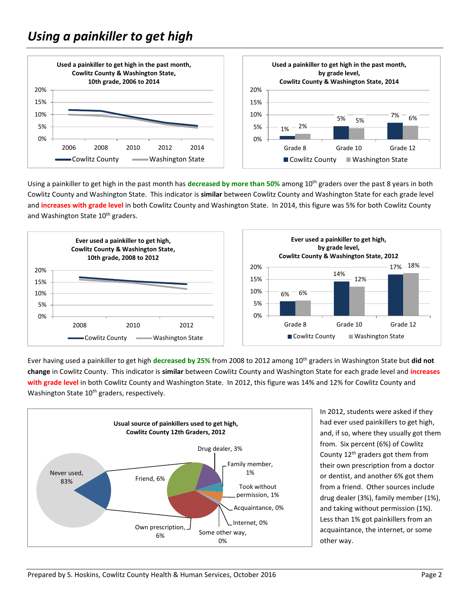

Using a painkiller to get high in the past month has **decreased by more than 50%** among 10th graders over the past 8 years in both Cowlitz County and Washington State. This indicator is **similar** between Cowlitz County and Washington State for each grade level and **increases with grade level** in both Cowlitz County and Washington State. In 2014, this figure was 5% for both Cowlitz County and Washington State 10<sup>th</sup> graders.



Ever having used a painkiller to get high **decreased by 25%** from 2008 to 2012 among 10th graders in Washington State but **did not change** in Cowlitz County. This indicator is **similar** between Cowlitz County and Washington State for each grade level and **increases with grade level** in both Cowlitz County and Washington State. In 2012, this figure was 14% and 12% for Cowlitz County and Washington State 10<sup>th</sup> graders, respectively.



In 2012, students were asked if they had ever used painkillers to get high, and, if so, where they usually got them from. Six percent (6%) of Cowlitz County 12th graders got them from their own prescription from a doctor or dentist, and another 6% got them from a friend. Other sources include drug dealer (3%), family member (1%), and taking without permission (1%). Less than 1% got painkillers from an acquaintance, the internet, or some other way.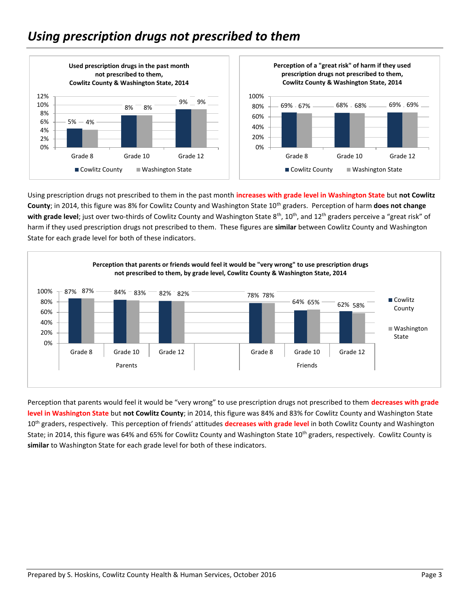## *Using prescription drugs not prescribed to them*



Using prescription drugs not prescribed to them in the past month **increases with grade level in Washington State** but **not Cowlitz County**; in 2014, this figure was 8% for Cowlitz County and Washington State 10th graders. Perception of harm **does not change**  with grade level; just over two-thirds of Cowlitz County and Washington State 8<sup>th</sup>, 10<sup>th</sup>, and 12<sup>th</sup> graders perceive a "great risk" of harm if they used prescription drugs not prescribed to them. These figures are **similar** between Cowlitz County and Washington State for each grade level for both of these indicators.



Perception that parents would feel it would be "very wrong" to use prescription drugs not prescribed to them **decreases with grade level in Washington State** but **not Cowlitz County**; in 2014, this figure was 84% and 83% for Cowlitz County and Washington State 10<sup>th</sup> graders, respectively. This perception of friends' attitudes **decreases with grade level** in both Cowlitz County and Washington State; in 2014, this figure was 64% and 65% for Cowlitz County and Washington State 10<sup>th</sup> graders, respectively. Cowlitz County is **similar** to Washington State for each grade level for both of these indicators.